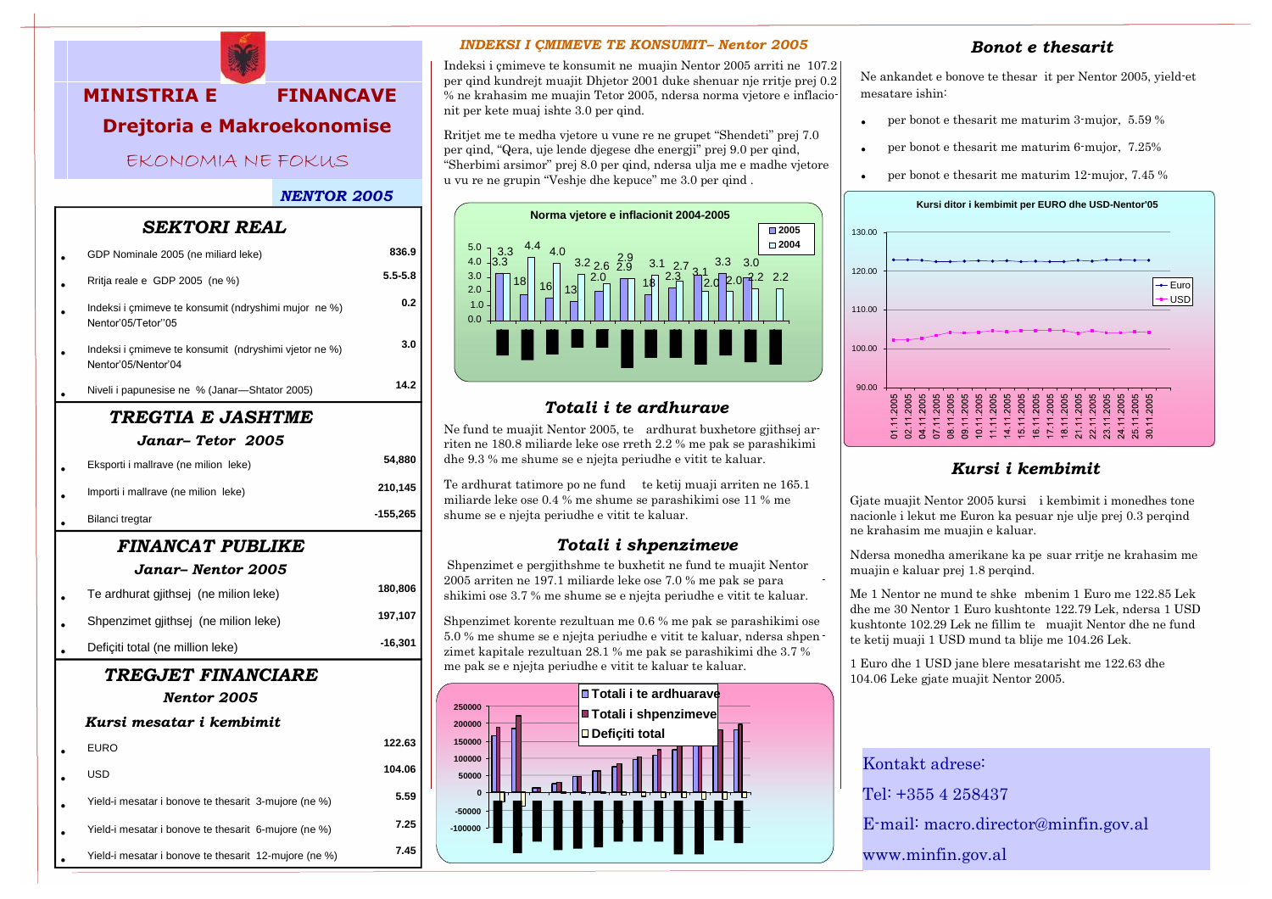

# **MINISTRIA E FINANCAVE Drejtoria e Makroekonomise**

EKONOMIA NE FOKUS

### *NENTOR 2005*

## *SEKTORI REAL*

|                           | GDP Nominale 2005 (ne miliard leke)                                          | 836.9       |  |  |
|---------------------------|------------------------------------------------------------------------------|-------------|--|--|
|                           | Rritja reale e GDP 2005 (ne %)                                               | $5.5 - 5.8$ |  |  |
|                           | Indeksi i çmimeve te konsumit (ndryshimi mujor ne %)<br>Nentor'05/Tetor"05   | 0.2         |  |  |
|                           | Indeksi i çmimeve te konsumit (ndryshimi vjetor ne %)<br>Nentor'05/Nentor'04 | 3.0         |  |  |
|                           | Niveli i papunesise ne % (Janar-Shtator 2005)                                | 14.2        |  |  |
| TREGTIA E JASHTME         |                                                                              |             |  |  |
|                           | Janar– Tetor 2005                                                            |             |  |  |
|                           | Eksporti i mallrave (ne milion leke)                                         | 54,880      |  |  |
|                           | Importi i mallrave (ne milion leke)                                          | 210,145     |  |  |
|                           | Bilanci tregtar                                                              | $-155,265$  |  |  |
| <b>FINANCAT PUBLIKE</b>   |                                                                              |             |  |  |
| Janar– Nentor 2005        |                                                                              |             |  |  |
|                           | Te ardhurat gjithsej (ne milion leke)                                        | 180,806     |  |  |
|                           | Shpenzimet gjithsej (ne milion leke)                                         | 197,107     |  |  |
|                           | Deficiti total (ne million leke)                                             | $-16,301$   |  |  |
| <b>TREGJET FINANCIARE</b> |                                                                              |             |  |  |
|                           | Nentor 2005                                                                  |             |  |  |
|                           | Kursi mesatar i kembimit                                                     |             |  |  |
|                           | <b>EURO</b>                                                                  | 122.63      |  |  |
|                           | <b>USD</b>                                                                   | 104.06      |  |  |
|                           | Yield-i mesatar i bonove te thesarit 3-mujore (ne %)                         | 5.59        |  |  |
|                           | Yield-i mesatar i bonove te thesarit 6-mujore (ne %)                         | 7.25        |  |  |

• Yield-i mesatar i bonove te thesarit 12-mujore (ne %) **7.45**

### *INDEKSI I ÇMIMEVE TE KONSUMIT– Nentor 2005*

Indeksi i çmimeve te konsumit ne muajin Nentor 2005 arriti ne 107.2 per qind kundrejt muajit Dhjetor 2001 duke shenuar nje rritje prej 0.2 % ne krahasim me muajin Tetor 2005, ndersa norma vjetore e inflacionit per kete muaj ishte 3.0 per qind.

Rritjet me te medha vjetore u vune re ne grupet "Shendeti" prej 7.0 per qind, "Qera, uje lende djegese dhe energji" prej 9.0 per qind, "Sherbimi arsimor" prej 8.0 per qind, ndersa ulja me e madhe vjetore u vu re ne grupin "Veshje dhe kepuce" me 3.0 per qind .



### *Totali i te ardhurave*

Ne fund te muajit Nentor 2005, te ardhurat buxhetore gjithsej arriten ne 180.8 miliarde leke ose rreth 2.2 % me pak se parashikimi dhe 9.3 % me shume se e njejta periudhe e vitit te kaluar.

Te ardhurat tatimore po ne fund te ketij muaji arriten ne 165.1 miliarde leke ose 0.4 % me shume se parashikimi ose 11 % me shume se e njejta periudhe e vitit te kaluar.

### *Totali i shpenzimeve*

Shpenzimet e pergjithshme te buxhetit ne fund te muajit Nentor 2005 arriten ne 197.1 miliarde leke ose 7.0 % me pak se para shikimi ose 3.7 % me shume se e njejta periudhe e vitit te kaluar.

Shpenzimet korente rezultuan me 0.6 % me pak se parashikimi ose 5.0 % me shume se e njejta periudhe e vitit te kaluar, ndersa shpen zimet kapitale rezultuan 28.1 % me pak se parashikimi dhe 3.7 % me pak se e njejta periudhe e vitit te kaluar te kaluar.



### *Bonot e thesarit*

Ne ankandet e bonove te thesar it per Nentor 2005, yield-et mesatare ishin:

- per bonot e thesarit me maturim 3-mujor, 5.59 %
- per bonot e thesarit me maturim 6-mujor, 7.25%
- per bonot e thesarit me maturim 12-mujor, 7.45 %



### *Kursi i kembimit*

Gjate muajit Nentor 2005 kursi i kembimit i monedhes tone nacionle i lekut me Euron ka pesuar nje ulje prej 0.3 perqind ne krahasim me muajin e kaluar.

Ndersa monedha amerikane ka pe suar rritje ne krahasim me muajin e kaluar prej 1.8 perqind.

Me 1 Nentor ne mund te shke mbenim 1 Euro me 122.85 Lek dhe me 30 Nentor 1 Euro kushtonte 122.79 Lek, ndersa 1 USD kushtonte 102.29 Lek ne fillim te muajit Nentor dhe ne fund te ketij muaji 1 USD mund ta blije me 104.26 Lek.

1 Euro dhe 1 USD jane blere mesatarisht me 122.63 dhe 104.06 Leke gjate muajit Nentor 2005.

Kontakt adrese: Tel: +355 4 258437 E-mail: macro.director@minfin.gov.al www.minfin.gov.al